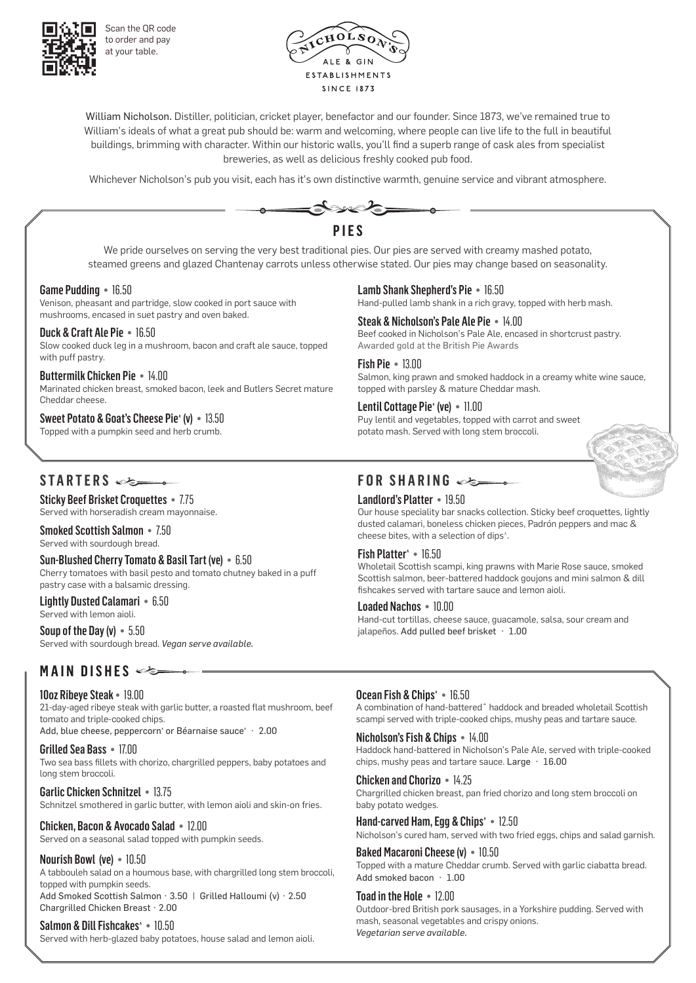

Scan the QR code to order and pay at your table.



William Nicholson. Distiller, politician, cricket player, benefactor and our founder. Since 1873, we've remained true to William's ideals of what a great pub should be: warm and welcoming, where people can live life to the full in beautiful buildings, brimming with character. Within our historic walls, you'll find a superb range of cask ales from specialist breweries, as well as delicious freshly cooked pub food.

Whichever Nicholson's pub you visit, each has it's own distinctive warmth, genuine service and vibrant atmosphere.



Marinated chicken breast, smoked bacon, leek and Butlers Secret mature Cheddar cheese.

#### Sweet Potato & Goat's Cheese Pie<sup>^</sup> (v) • 13.50

Topped with a pumpkin seed and herb crumb.

topped with parsley & mature Cheddar mash.

Lentil Cottage Pie<sup>^</sup> (ve) • 11.00 Puy lentil and vegetables, topped with carrot and sweet potato mash. Served with long stem broccoli.

# **STARTERS**

Sticky Beef Brisket Croquettes • 7.75 Served with horseradish cream mayonnaise.

Smoked Scottish Salmon • 7.50 Served with sourdough bread.

Sun-Blushed Cherry Tomato & Basil Tart (ve) • 6.50 Cherry tomatoes with basil pesto and tomato chutney baked in a puff pastry case with a balsamic dressing.

Lightly Dusted Calamari • 6.50 Served with lemon aioli.

Soup of the Day (v) • 5.50 Served with sourdough bread. *Vegan serve available.*

# **MAIN DISHES**

10oz Ribeye Steak • 19.00 21-day-aged ribeye steak with garlic butter, a roasted flat mushroom, beef tomato and triple-cooked chips.

Add, blue cheese, peppercorn' or Béarnaise sauce' · 2.00

Grilled Sea Bass • 17.00 Two sea bass fillets with chorizo, chargrilled peppers, baby potatoes and long stem broccoli.

Garlic Chicken Schnitzel • 13.75 Schnitzel smothered in garlic butter, with lemon aioli and skin-on fries.

Chicken, Bacon & Avocado Salad • 12.00 Served on a seasonal salad topped with pumpkin seeds.

### Nourish Bowl (ve) • 10.50

A tabbouleh salad on a houmous base, with chargrilled long stem broccoli, topped with pumpkin seeds. Add Smoked Scottish Salmon • 3.50 | Grilled Halloumi (v) • 2.50 Chargrilled Chicken Breast • 2.00

Salmon & Dill Fishcakes<sup>\*</sup> . 10.50 Served with herb-glazed baby potatoes, house salad and lemon aioli.

# **FOR SHARING**

### Landlord's Platter • 19.50

Our house speciality bar snacks collection. Sticky beef croquettes, lightly dusted calamari, boneless chicken pieces, Padrón peppers and mac & cheese bites, with a selection of dips^.

### Fish Platter<sup>^</sup> • 16.50

Wholetail Scottish scampi, king prawns with Marie Rose sauce, smoked Scottish salmon, beer-battered haddock goujons and mini salmon & dill fishcakes served with tartare sauce and lemon aioli.

#### Loaded Nachos • 10.00

Hand-cut tortillas, cheese sauce, guacamole, salsa, sour cream and jalapeños. Add pulled beef brisket · 1.00

## Ocean Fish & Chips^ • 16.50

A combination of hand-batteredˆ haddock and breaded wholetail Scottish scampi served with triple-cooked chips, mushy peas and tartare sauce.

Nicholson's Fish & Chips • 14.00 Haddock hand-battered in Nicholson's Pale Ale, served with triple-cooked chips, mushy peas and tartare sauce. Large • 16.00

Chicken and Chorizo • 14.25 Chargrilled chicken breast, pan fried chorizo and long stem broccoli on baby potato wedges.

Hand-carved Ham, Egg & Chips<sup>®</sup> · 12.50 Nicholson's cured ham, served with two fried eggs, chips and salad garnish.

Baked Macaroni Cheese (v) • 10.50 Topped with a mature Cheddar crumb. Served with garlic ciabatta bread. Add smoked bacon • 1.00

Toad in the Hole • 12.00 Outdoor-bred British pork sausages, in a Yorkshire pudding. Served with mash, seasonal vegetables and crispy onions. *Vegetarian serve available.*